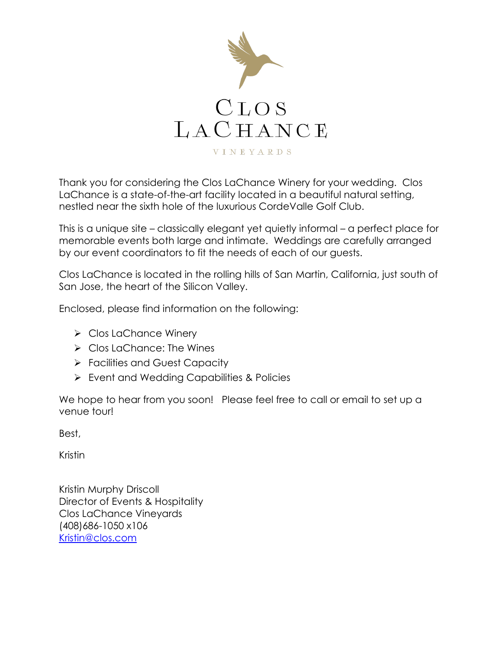

Thank you for considering the Clos LaChance Winery for your wedding. Clos LaChance is a state-of-the-art facility located in a beautiful natural setting, nestled near the sixth hole of the luxurious CordeValle Golf Club.

This is a unique site – classically elegant yet quietly informal – a perfect place for memorable events both large and intimate. Weddings are carefully arranged by our event coordinators to fit the needs of each of our guests.

Clos LaChance is located in the rolling hills of San Martin, California, just south of San Jose, the heart of the Silicon Valley.

Enclosed, please find information on the following:

- ➢ Clos LaChance Winery
- ➢ Clos LaChance: The Wines
- ➢ Facilities and Guest Capacity
- ➢ Event and Wedding Capabilities & Policies

We hope to hear from you soon! Please feel free to call or email to set up a venue tour!

Best,

Kristin

Kristin Murphy Driscoll Director of Events & Hospitality Clos LaChance Vineyards (408)686-1050 x106 [Kristin@clos.com](mailto:Kristin@clos.com)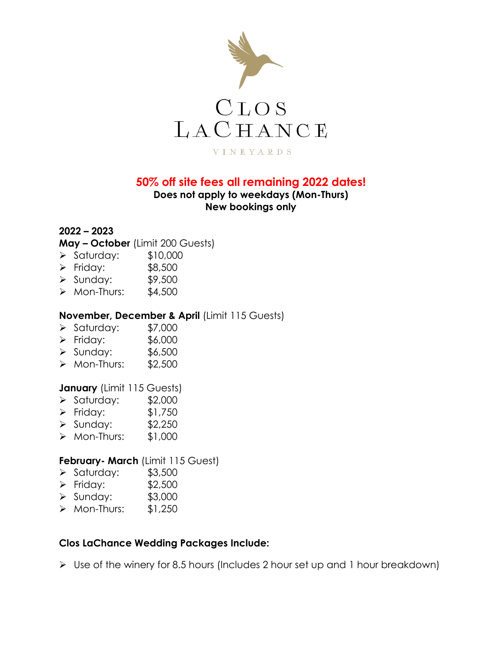

### **50% off site fees all remaining 2022 dates!**

### **Does not apply to weekdays (Mon-Thurs) New bookings only**

### **2022 – 2023**

**May – October** (Limit 200 Guests)

- ➢ Saturday: \$10,000
- ➢ Friday: \$8,500
- ➢ Sunday: \$9,500
- $\triangleright$  Mon-Thurs: \$4,500

#### **November, December & April** (Limit 115 Guests)

- ➢ Saturday: \$7,000
- ➢ Friday: \$6,000
- ➢ Sunday: \$6,500
- ➢ Mon-Thurs: \$2,500

#### **January** (Limit 115 Guests)

- $\geq$  Saturday: \$2,000
- ➢ Friday: \$1,750
- ➢ Sunday: \$2,250
- ➢ Mon-Thurs: \$1,000

#### **February- March** (Limit 115 Guest)

- $\blacktriangleright$  Saturday: \$3,500
- ➢ Friday: \$2,500
- ➢ Sunday: \$3,000
- $\triangleright$  Mon-Thurs: \$1,250

#### **Clos LaChance Wedding Packages Include:**

➢ Use of the winery for 8.5 hours (Includes 2 hour set up and 1 hour breakdown)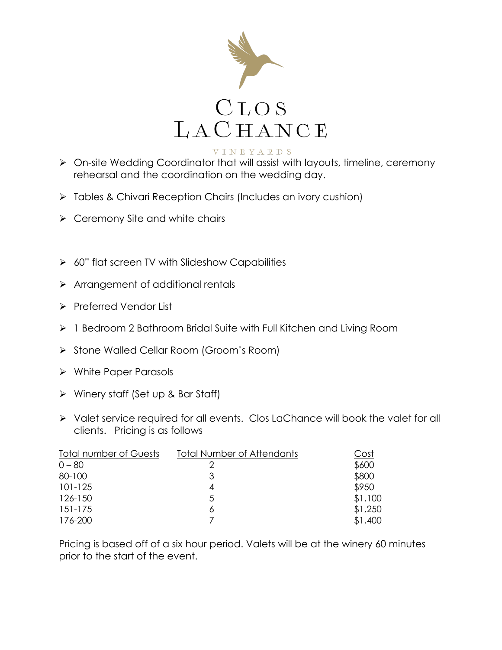

- ➢ On-site Wedding Coordinator that will assist with layouts, timeline, ceremony rehearsal and the coordination on the wedding day.
- ➢ Tables & Chivari Reception Chairs (Includes an ivory cushion)
- $\triangleright$  Ceremony Site and white chairs
- $\geq 60$ " flat screen TV with Slideshow Capabilities
- ➢ Arrangement of additional rentals
- ➢ Preferred Vendor List
- ➢ 1 Bedroom 2 Bathroom Bridal Suite with Full Kitchen and Living Room
- ➢ Stone Walled Cellar Room (Groom's Room)
- ➢ White Paper Parasols
- ➢ Winery staff (Set up & Bar Staff)
- ➢ Valet service required for all events. Clos LaChance will book the valet for all clients. Pricing is as follows

| <b>Total number of Guests</b> | <b>Total Number of Attendants</b> | Cost    |
|-------------------------------|-----------------------------------|---------|
| $0 - 80$                      |                                   | \$600   |
| 80-100                        |                                   | \$800   |
| $101 - 125$                   | 4                                 | \$950   |
| 126-150                       | 5                                 | \$1,100 |
| 151-175                       | 6                                 | \$1,250 |
| 176-200                       |                                   | \$1,400 |

Pricing is based off of a six hour period. Valets will be at the winery 60 minutes prior to the start of the event.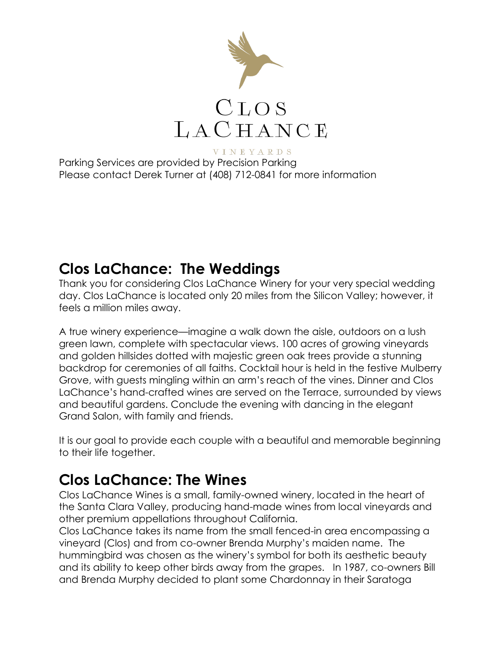

Parking Services are provided by Precision Parking Please contact Derek Turner at (408) 712-0841 for more information

### **Clos LaChance: The Weddings**

Thank you for considering Clos LaChance Winery for your very special wedding day. Clos LaChance is located only 20 miles from the Silicon Valley; however, it feels a million miles away.

A true winery experience—imagine a walk down the aisle, outdoors on a lush green lawn, complete with spectacular views. 100 acres of growing vineyards and golden hillsides dotted with majestic green oak trees provide a stunning backdrop for ceremonies of all faiths. Cocktail hour is held in the festive Mulberry Grove, with guests mingling within an arm's reach of the vines. Dinner and Clos LaChance's hand-crafted wines are served on the Terrace, surrounded by views and beautiful gardens. Conclude the evening with dancing in the elegant Grand Salon, with family and friends.

It is our goal to provide each couple with a beautiful and memorable beginning to their life together.

### **Clos LaChance: The Wines**

Clos LaChance Wines is a small, family-owned winery, located in the heart of the Santa Clara Valley, producing hand-made wines from local vineyards and other premium appellations throughout California.

Clos LaChance takes its name from the small fenced-in area encompassing a vineyard (Clos) and from co-owner Brenda Murphy's maiden name. The hummingbird was chosen as the winery's symbol for both its aesthetic beauty and its ability to keep other birds away from the grapes. In 1987, co-owners Bill and Brenda Murphy decided to plant some Chardonnay in their Saratoga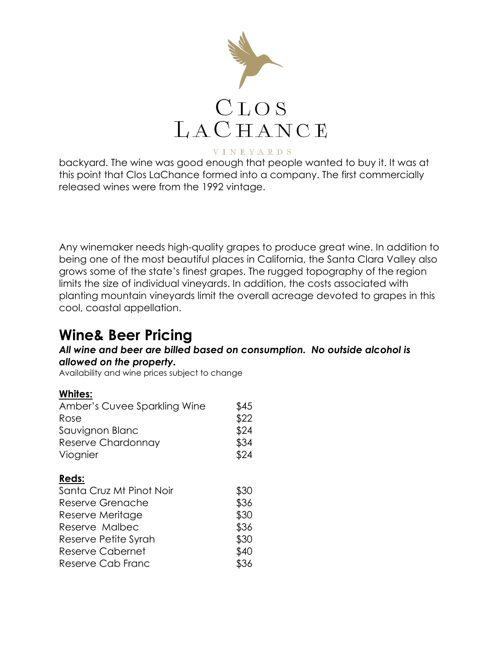

backyard. The wine was good enough that people wanted to buy it. It was at this point that Clos LaChance formed into a company. The first commercially released wines were from the 1992 vintage.

Any winemaker needs high-quality grapes to produce great wine. In addition to being one of the most beautiful places in California, the Santa Clara Valley also grows some of the state's finest grapes. The rugged topography of the region limits the size of individual vineyards. In addition, the costs associated with planting mountain vineyards limit the overall acreage devoted to grapes in this cool, coastal appellation.

### **Wine& Beer Pricing**

#### *All wine and beer are billed based on consumption. No outside alcohol is allowed on the property.*

Availability and wine prices subject to change

#### **Whites:**

| Amber's Cuvee Sparkling Wine                                                                                        | \$45                                 |
|---------------------------------------------------------------------------------------------------------------------|--------------------------------------|
| Rose                                                                                                                | \$22                                 |
| Sauvignon Blanc                                                                                                     | \$24                                 |
| Reserve Chardonnay                                                                                                  | \$34                                 |
| Viognier                                                                                                            | \$24                                 |
| Reds:<br>Santa Cruz Mt Pinot Noir<br>Reserve Grenache<br>Reserve Meritage<br>Reserve Malbec<br>Reserve Petite Syrah | \$30<br>\$36<br>\$30<br>\$36<br>\$30 |
| <b>Reserve Cabernet</b>                                                                                             | \$40                                 |
| Reserve Cab Franc                                                                                                   | \$36                                 |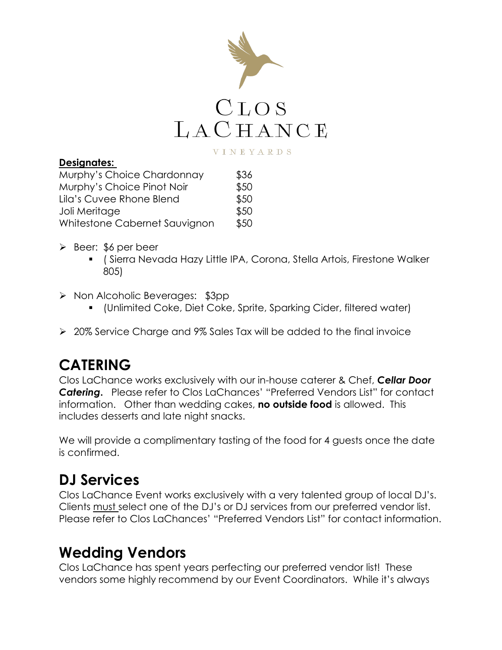

### **Designates:**

| Murphy's Choice Chardonnay    | \$36 |
|-------------------------------|------|
| Murphy's Choice Pinot Noir    | \$50 |
| Lila's Cuvee Rhone Blend      | \$50 |
| Joli Meritage                 | \$50 |
| Whitestone Cabernet Sauvignon | \$50 |

- ➢ Beer: \$6 per beer
	- ( Sierra Nevada Hazy Little IPA, Corona, Stella Artois, Firestone Walker 805)
- ➢ Non Alcoholic Beverages: \$3pp
	- (Unlimited Coke, Diet Coke, Sprite, Sparking Cider, filtered water)
- ➢ 20% Service Charge and 9% Sales Tax will be added to the final invoice

## **CATERING**

Clos LaChance works exclusively with our in-house caterer & Chef, *Cellar Door Catering***.** Please refer to Clos LaChances' "Preferred Vendors List" for contact information. Other than wedding cakes, **no outside food** is allowed. This includes desserts and late night snacks.

We will provide a complimentary tasting of the food for 4 guests once the date is confirmed.

# **DJ Services**

Clos LaChance Event works exclusively with a very talented group of local DJ's. Clients must select one of the DJ's or DJ services from our preferred vendor list. Please refer to Clos LaChances' "Preferred Vendors List" for contact information.

### **Wedding Vendors**

Clos LaChance has spent years perfecting our preferred vendor list! These vendors some highly recommend by our Event Coordinators. While it's always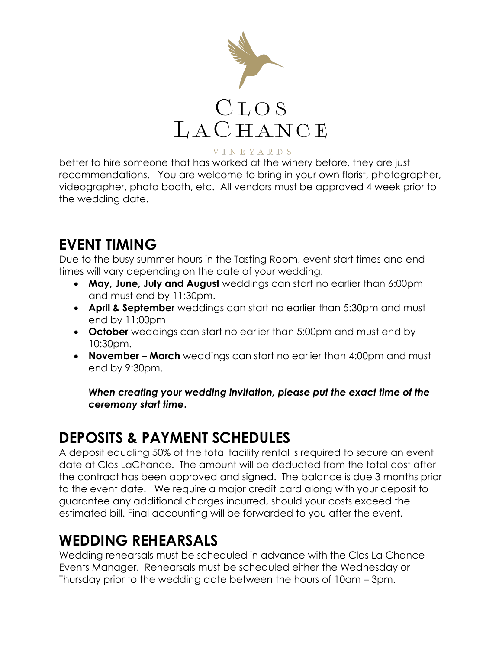

better to hire someone that has worked at the winery before, they are just recommendations. You are welcome to bring in your own florist, photographer, videographer, photo booth, etc. All vendors must be approved 4 week prior to the wedding date.

## **EVENT TIMING**

Due to the busy summer hours in the Tasting Room, event start times and end times will vary depending on the date of your wedding.

- **May, June, July and August** weddings can start no earlier than 6:00pm and must end by 11:30pm.
- **April & September** weddings can start no earlier than 5:30pm and must end by 11:00pm
- **October** weddings can start no earlier than 5:00pm and must end by 10:30pm.
- **November – March** weddings can start no earlier than 4:00pm and must end by 9:30pm.

*When creating your wedding invitation, please put the exact time of the ceremony start time***.** 

# **DEPOSITS & PAYMENT SCHEDULES**

A deposit equaling 50% of the total facility rental is required to secure an event date at Clos LaChance. The amount will be deducted from the total cost after the contract has been approved and signed. The balance is due 3 months prior to the event date. We require a major credit card along with your deposit to guarantee any additional charges incurred, should your costs exceed the estimated bill. Final accounting will be forwarded to you after the event.

## **WEDDING REHEARSALS**

Wedding rehearsals must be scheduled in advance with the Clos La Chance Events Manager. Rehearsals must be scheduled either the Wednesday or Thursday prior to the wedding date between the hours of 10am – 3pm.